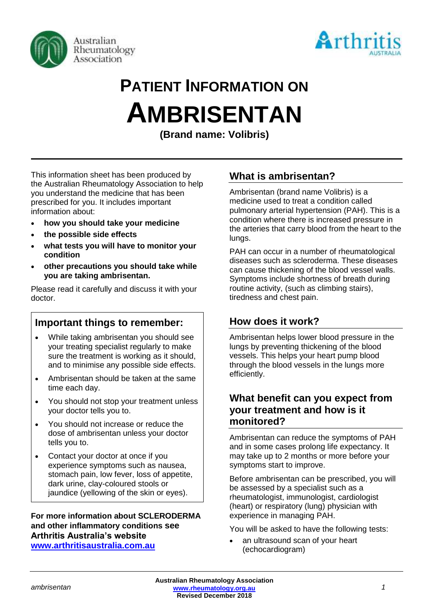



# **PATIENT INFORMATION ON AMBRISENTAN**

**(Brand name: Volibris)**

This information sheet has been produced by the Australian Rheumatology Association to help you understand the medicine that has been prescribed for you. It includes important information about:

- **how you should take your medicine**
- **the possible side effects**
- **what tests you will have to monitor your condition**
- **other precautions you should take while you are taking ambrisentan.**

Please read it carefully and discuss it with your doctor.

# **Important things to remember:**

- While taking ambrisentan you should see your treating specialist regularly to make sure the treatment is working as it should, and to minimise any possible side effects.
- Ambrisentan should be taken at the same time each day.
- You should not stop your treatment unless your doctor tells you to.
- You should not increase or reduce the dose of ambrisentan unless your doctor tells you to.
- Contact your doctor at once if you experience symptoms such as nausea, stomach pain, low fever, loss of appetite, dark urine, clay-coloured stools or jaundice (yellowing of the skin or eyes).

## **For more information about SCLERODERMA and other inflammatory conditions see Arthritis Australia's website [www.arthritisaustralia.com.au](http://www.arthritisaustralia.com.au/)**

# **What is ambrisentan?**

Ambrisentan (brand name Volibris) is a medicine used to treat a condition called pulmonary arterial hypertension (PAH). This is a condition where there is increased [pressure](http://www.rxlist.com/script/main/art.asp?articlekey=3756) in the arteries that carry blood from the heart to the lungs.

PAH can occur in a number of rheumatological diseases such as scleroderma. These diseases can cause thickening of the blood vessel walls. Symptoms include shortness of breath during routine activity, (such as climbing stairs), tiredness and chest pain.

# **How does it work?**

Ambrisentan helps lower blood pressure in the lungs by preventing thickening of the blood vessels. This helps your heart pump blood through the blood vessels in the lungs more efficiently.

## **What benefit can you expect from your treatment and how is it monitored?**

Ambrisentan can reduce the symptoms of PAH and in some cases prolong life expectancy. It may take up to 2 months or more before your symptoms start to improve.

Before ambrisentan can be prescribed, you will be assessed by a specialist such as a rheumatologist, immunologist, cardiologist (heart) or respiratory (lung) physician with experience in managing PAH.

You will be asked to have the following tests:

an ultrasound scan of your heart (echocardiogram)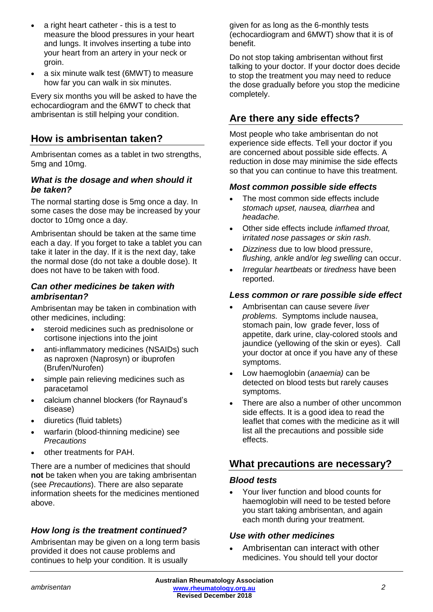- a right heart catheter this is a test to measure the blood pressures in your heart and lungs. It involves inserting a tube into your heart from an artery in your neck or groin.
- a six minute walk test (6MWT) to measure how far you can walk in six minutes.

Every six months you will be asked to have the echocardiogram and the 6MWT to check that ambrisentan is still helping your condition.

## **How is ambrisentan taken?**

Ambrisentan comes as a tablet in two strengths, 5mg and 10mg.

## *What is the dosage and when should it be taken?*

The normal starting dose is 5mg once a day. In some cases the dose may be increased by your doctor to 10mg once a day.

Ambrisentan should be taken at the same time each a day. If you forget to take a tablet you can take it later in the day. If it is the next day, take the normal dose (do not take a double dose). It does not have to be taken with food.

## *Can other medicines be taken with ambrisentan?*

Ambrisentan may be taken in combination with other medicines, including:

- steroid medicines such as prednisolone or cortisone injections into the joint
- anti-inflammatory medicines (NSAIDs) such as naproxen (Naprosyn) or ibuprofen (Brufen/Nurofen)
- simple pain relieving medicines such as paracetamol
- calcium channel blockers (for Raynaud's disease)
- diuretics (fluid tablets)
- warfarin (blood-thinning medicine) see *Precautions*
- other treatments for PAH.

There are a number of medicines that should **not** be taken when you are taking ambrisentan (see *Precautions*). There are also separate information sheets for the medicines mentioned above.

## *How long is the treatment continued?*

Ambrisentan may be given on a long term basis provided it does not cause problems and continues to help your condition. It is usually

given for as long as the 6-monthly tests (echocardiogram and 6MWT) show that it is of benefit.

Do not stop taking ambrisentan without first talking to your doctor. If your doctor does decide to stop the treatment you may need to reduce the dose gradually before you stop the medicine completely.

# **Are there any side effects?**

Most people who take ambrisentan do not experience side effects. Tell your doctor if you are concerned about possible side effects. A reduction in dose may minimise the side effects so that you can continue to have this treatment.

## *Most common possible side effects*

- The most common side effects include *stomach upset, nausea, diarrhea* and *headache.*
- Other side effects include *inflamed [throat,](http://www.rxlist.com/script/main/art.asp?articlekey=53392)* i*rritated [nose](http://www.rxlist.com/script/main/art.asp?articlekey=13183) passages or skin rash*.
- *Dizziness* due to [low blood pressure,](http://www.rxlist.com/script/main/art.asp?articlekey=7670) *flushing, [ankle](http://www.rxlist.com/script/main/art.asp?articlekey=8983)* and/or *[leg](http://www.rxlist.com/script/main/art.asp?articlekey=8739) swelling* can occur.
- *Irregular heartbeats* or *tiredness* have been reported.

## *Less common or rare possible side effect*

- Ambrisentan can cause severe *liver problems.* Symptoms include nausea, stomach pain, low grade fever, loss of appetite, dark urine, clay-colored stools and jaundice (yellowing of the skin or eyes). Call your doctor at once if you have any of these symptoms.
- Low haemoglobin (*anaemia)* can be detected on blood tests but rarely causes symptoms.
- There are also a number of other uncommon side effects. It is a good idea to read the leaflet that comes with the medicine as it will list all the precautions and possible side effects.

## **What precautions are necessary?**

## *Blood tests*

• Your liver function and blood counts for haemoglobin will need to be tested before you start taking ambrisentan, and again each month during your treatment.

## *Use with other medicines*

• Ambrisentan can interact with other medicines. You should tell your doctor